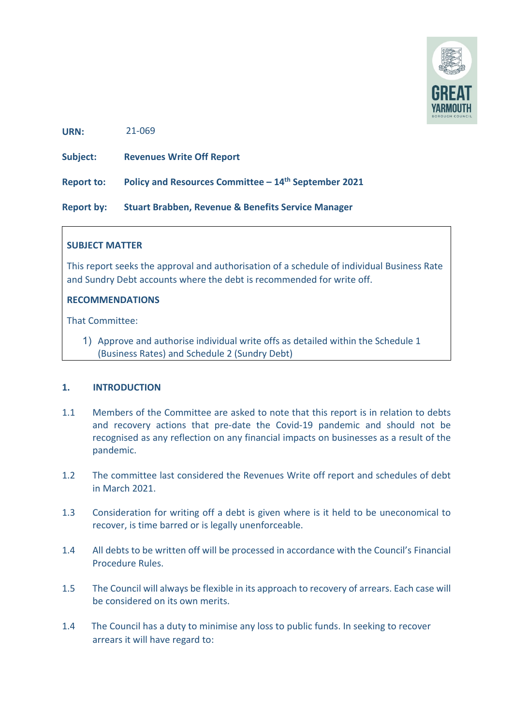

**URN:**  21-069

**Subject: Revenues Write Off Report**

**Report to: Policy and Resources Committee – 14th September 2021**

**Report by: Stuart Brabben, Revenue & Benefits Service Manager** 

### **SUBJECT MATTER**

This report seeks the approval and authorisation of a schedule of individual Business Rate and Sundry Debt accounts where the debt is recommended for write off.

### **RECOMMENDATIONS**

That Committee:

1) Approve and authorise individual write offs as detailed within the Schedule 1 (Business Rates) and Schedule 2 (Sundry Debt)

#### **1. INTRODUCTION**

- 1.1 Members of the Committee are asked to note that this report is in relation to debts and recovery actions that pre-date the Covid-19 pandemic and should not be recognised as any reflection on any financial impacts on businesses as a result of the pandemic.
- 1.2 The committee last considered the Revenues Write off report and schedules of debt in March 2021.
- 1.3 Consideration for writing off a debt is given where is it held to be uneconomical to recover, is time barred or is legally unenforceable.
- 1.4 All debts to be written off will be processed in accordance with the Council's Financial Procedure Rules.
- 1.5 The Council will always be flexible in its approach to recovery of arrears. Each case will be considered on its own merits.
- 1.4 The Council has a duty to minimise any loss to public funds. In seeking to recover arrears it will have regard to: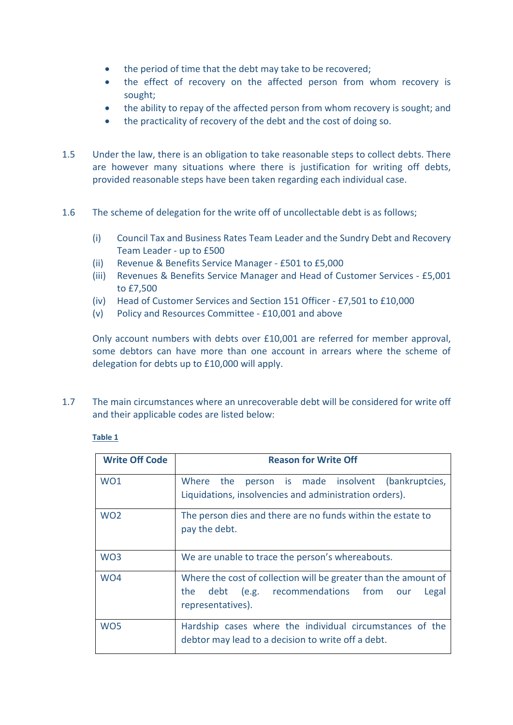- the period of time that the debt may take to be recovered;
- the effect of recovery on the affected person from whom recovery is sought;
- the ability to repay of the affected person from whom recovery is sought; and
- the practicality of recovery of the debt and the cost of doing so.
- 1.5 Under the law, there is an obligation to take reasonable steps to collect debts. There are however many situations where there is justification for writing off debts, provided reasonable steps have been taken regarding each individual case.
- 1.6 The scheme of delegation for the write off of uncollectable debt is as follows;
	- (i) Council Tax and Business Rates Team Leader and the Sundry Debt and Recovery Team Leader - up to £500
	- (ii) Revenue & Benefits Service Manager £501 to £5,000
	- (iii) Revenues & Benefits Service Manager and Head of Customer Services £5,001 to £7,500
	- (iv) Head of Customer Services and Section 151 Officer £7,501 to £10,000
	- (v) Policy and Resources Committee £10,001 and above

Only account numbers with debts over £10,001 are referred for member approval, some debtors can have more than one account in arrears where the scheme of delegation for debts up to £10,000 will apply.

1.7 The main circumstances where an unrecoverable debt will be considered for write off and their applicable codes are listed below:

#### **Table 1**

| <b>Write Off Code</b> | <b>Reason for Write Off</b>                                                                                                                 |  |  |  |  |  |
|-----------------------|---------------------------------------------------------------------------------------------------------------------------------------------|--|--|--|--|--|
| WO <sub>1</sub>       | Where the person is made insolvent (bankruptcies,<br>Liquidations, insolvencies and administration orders).                                 |  |  |  |  |  |
| WO <sub>2</sub>       | The person dies and there are no funds within the estate to<br>pay the debt.                                                                |  |  |  |  |  |
| WO <sub>3</sub>       | We are unable to trace the person's whereabouts.                                                                                            |  |  |  |  |  |
| WO <sub>4</sub>       | Where the cost of collection will be greater than the amount of<br>the debt (e.g. recommendations from<br>Legal<br>our<br>representatives). |  |  |  |  |  |
| WO <sub>5</sub>       | Hardship cases where the individual circumstances of the<br>debtor may lead to a decision to write off a debt.                              |  |  |  |  |  |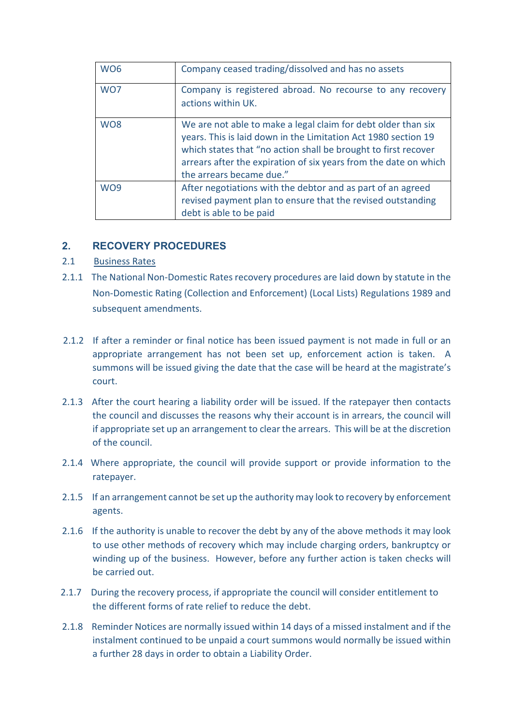| WO <sub>6</sub>             | Company ceased trading/dissolved and has no assets                                                                                                                                                                                                                                                |
|-----------------------------|---------------------------------------------------------------------------------------------------------------------------------------------------------------------------------------------------------------------------------------------------------------------------------------------------|
| W <sub>O</sub> 7            | Company is registered abroad. No recourse to any recovery<br>actions within UK.                                                                                                                                                                                                                   |
| W <sub>O</sub> <sub>8</sub> | We are not able to make a legal claim for debt older than six<br>years. This is laid down in the Limitation Act 1980 section 19<br>which states that "no action shall be brought to first recover<br>arrears after the expiration of six years from the date on which<br>the arrears became due." |
| W <sub>O</sub> 9            | After negotiations with the debtor and as part of an agreed<br>revised payment plan to ensure that the revised outstanding<br>debt is able to be paid                                                                                                                                             |

# **2. RECOVERY PROCEDURES**

# 2.1Business Rates

- 2.1.1 The National Non-Domestic Rates recovery procedures are laid down by statute in the Non-Domestic Rating (Collection and Enforcement) (Local Lists) Regulations 1989 and subsequent amendments.
- 2.1.2 If after a reminder or final notice has been issued payment is not made in full or an appropriate arrangement has not been set up, enforcement action is taken. A summons will be issued giving the date that the case will be heard at the magistrate's court.
- 2.1.3 After the court hearing a liability order will be issued. If the ratepayer then contacts the council and discusses the reasons why their account is in arrears, the council will if appropriate set up an arrangement to clear the arrears. This will be at the discretion of the council.
- 2.1.4 Where appropriate, the council will provide support or provide information to the ratepayer.
- 2.1.5 If an arrangement cannot be set up the authority may look to recovery by enforcement agents.
- 2.1.6 If the authority is unable to recover the debt by any of the above methods it may look to use other methods of recovery which may include charging orders, bankruptcy or winding up of the business. However, before any further action is taken checks will be carried out.
- 2.1.7 During the recovery process, if appropriate the council will consider entitlement to the different forms of rate relief to reduce the debt.
- 2.1.8 Reminder Notices are normally issued within 14 days of a missed instalment and if the instalment continued to be unpaid a court summons would normally be issued within a further 28 days in order to obtain a Liability Order.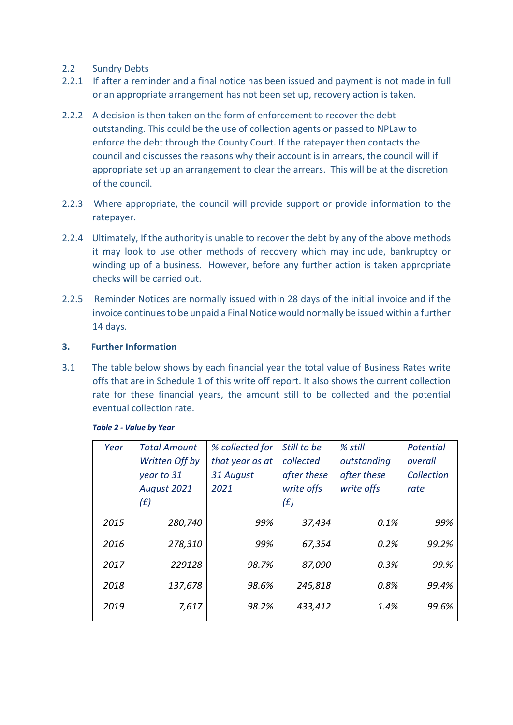## 2.2 Sundry Debts

- 2.2.1 If after a reminder and a final notice has been issued and payment is not made in full or an appropriate arrangement has not been set up, recovery action is taken.
- 2.2.2 A decision is then taken on the form of enforcement to recover the debt outstanding. This could be the use of collection agents or passed to NPLaw to enforce the debt through the County Court. If the ratepayer then contacts the council and discusses the reasons why their account is in arrears, the council will if appropriate set up an arrangement to clear the arrears. This will be at the discretion of the council.
- 2.2.3 Where appropriate, the council will provide support or provide information to the ratepayer.
- 2.2.4 Ultimately, If the authority is unable to recover the debt by any of the above methods it may look to use other methods of recovery which may include, bankruptcy or winding up of a business. However, before any further action is taken appropriate checks will be carried out.
- 2.2.5 Reminder Notices are normally issued within 28 days of the initial invoice and if the invoice continues to be unpaid a Final Notice would normally be issued within a further 14 days.

### **3. Further Information**

3.1 The table below shows by each financial year the total value of Business Rates write offs that are in Schedule 1 of this write off report. It also shows the current collection rate for these financial years, the amount still to be collected and the potential eventual collection rate.

| Year | <b>Total Amount</b><br>Written Off by<br>year to 31<br>August 2021<br>(E) | % collected for<br>that year as at<br>31 August<br>2021 | Still to be<br>collected<br>after these<br>write offs<br>(E) | % still<br>outstanding<br>after these<br>write offs | <b>Potential</b><br>overall<br>Collection<br>rate |
|------|---------------------------------------------------------------------------|---------------------------------------------------------|--------------------------------------------------------------|-----------------------------------------------------|---------------------------------------------------|
| 2015 | 280,740                                                                   | 99%                                                     | 37,434                                                       | 0.1%                                                | 99%                                               |
| 2016 | 278,310                                                                   | 99%                                                     | 67,354                                                       | 0.2%                                                | 99.2%                                             |
| 2017 | 229128                                                                    | 98.7%                                                   | 87,090                                                       | 0.3%                                                | 99.%                                              |
| 2018 | 137,678                                                                   | 98.6%                                                   | 245,818                                                      | 0.8%                                                | 99.4%                                             |
| 2019 | 7,617                                                                     | 98.2%                                                   | 433,412                                                      | 1.4%                                                | 99.6%                                             |

#### *Table 2 - Value by Year*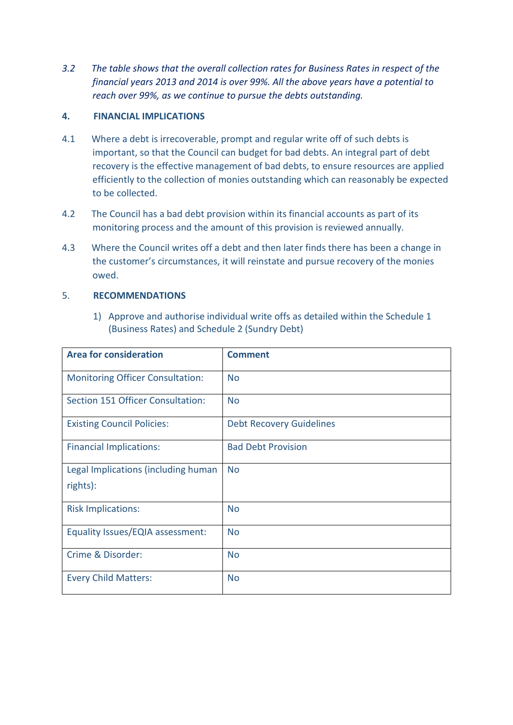*3.2 The table shows that the overall collection rates for Business Rates in respect of the financial years 2013 and 2014 is over 99%. All the above years have a potential to reach over 99%, as we continue to pursue the debts outstanding.*

## **4. FINANCIAL IMPLICATIONS**

- 4.1 Where a debt is irrecoverable, prompt and regular write off of such debts is important, so that the Council can budget for bad debts. An integral part of debt recovery is the effective management of bad debts, to ensure resources are applied efficiently to the collection of monies outstanding which can reasonably be expected to be collected.
- 4.2 The Council has a bad debt provision within its financial accounts as part of its monitoring process and the amount of this provision is reviewed annually.
- 4.3 Where the Council writes off a debt and then later finds there has been a change in the customer's circumstances, it will reinstate and pursue recovery of the monies owed.

### 5. **RECOMMENDATIONS**

1) Approve and authorise individual write offs as detailed within the Schedule 1 (Business Rates) and Schedule 2 (Sundry Debt)

| <b>Area for consideration</b>           | <b>Comment</b>                  |
|-----------------------------------------|---------------------------------|
| <b>Monitoring Officer Consultation:</b> | <b>No</b>                       |
| Section 151 Officer Consultation:       | <b>No</b>                       |
| <b>Existing Council Policies:</b>       | <b>Debt Recovery Guidelines</b> |
| <b>Financial Implications:</b>          | <b>Bad Debt Provision</b>       |
| Legal Implications (including human     | <b>No</b>                       |
| rights):                                |                                 |
| <b>Risk Implications:</b>               | <b>No</b>                       |
| Equality Issues/EQIA assessment:        | <b>No</b>                       |
| Crime & Disorder:                       | <b>No</b>                       |
| <b>Every Child Matters:</b>             | <b>No</b>                       |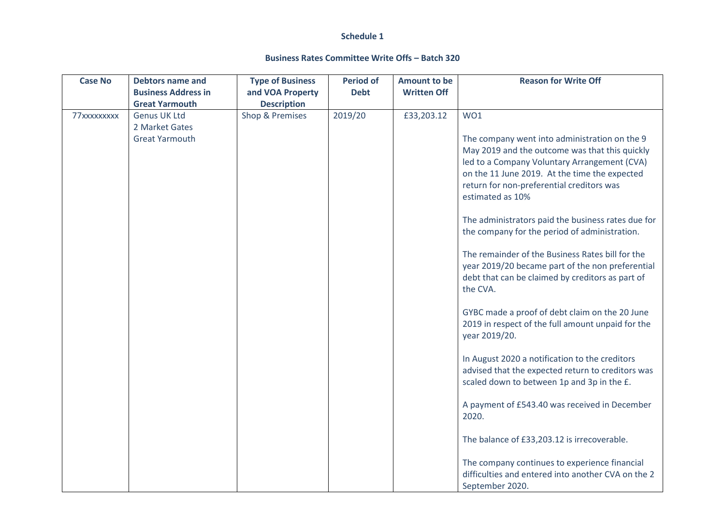#### **Schedule 1**

#### **Business Rates Committee Write Offs – Batch 320**

| <b>Case No</b> | <b>Debtors name and</b>                             | <b>Type of Business</b>                | <b>Period of</b> | <b>Amount to be</b> | <b>Reason for Write Off</b>                                                                                                                                                                                                                                       |
|----------------|-----------------------------------------------------|----------------------------------------|------------------|---------------------|-------------------------------------------------------------------------------------------------------------------------------------------------------------------------------------------------------------------------------------------------------------------|
|                | <b>Business Address in</b><br><b>Great Yarmouth</b> | and VOA Property<br><b>Description</b> | <b>Debt</b>      | <b>Written Off</b>  |                                                                                                                                                                                                                                                                   |
| 77xxxxxxxxx    | <b>Genus UK Ltd</b><br>2 Market Gates               | Shop & Premises                        | 2019/20          | £33,203.12          | WO1                                                                                                                                                                                                                                                               |
|                | <b>Great Yarmouth</b>                               |                                        |                  |                     | The company went into administration on the 9<br>May 2019 and the outcome was that this quickly<br>led to a Company Voluntary Arrangement (CVA)<br>on the 11 June 2019. At the time the expected<br>return for non-preferential creditors was<br>estimated as 10% |
|                |                                                     |                                        |                  |                     | The administrators paid the business rates due for<br>the company for the period of administration.                                                                                                                                                               |
|                |                                                     |                                        |                  |                     | The remainder of the Business Rates bill for the<br>year 2019/20 became part of the non preferential<br>debt that can be claimed by creditors as part of<br>the CVA.                                                                                              |
|                |                                                     |                                        |                  |                     | GYBC made a proof of debt claim on the 20 June<br>2019 in respect of the full amount unpaid for the<br>year 2019/20.                                                                                                                                              |
|                |                                                     |                                        |                  |                     | In August 2020 a notification to the creditors<br>advised that the expected return to creditors was<br>scaled down to between 1p and 3p in the £.                                                                                                                 |
|                |                                                     |                                        |                  |                     | A payment of £543.40 was received in December<br>2020.                                                                                                                                                                                                            |
|                |                                                     |                                        |                  |                     | The balance of £33,203.12 is irrecoverable.                                                                                                                                                                                                                       |
|                |                                                     |                                        |                  |                     | The company continues to experience financial<br>difficulties and entered into another CVA on the 2<br>September 2020.                                                                                                                                            |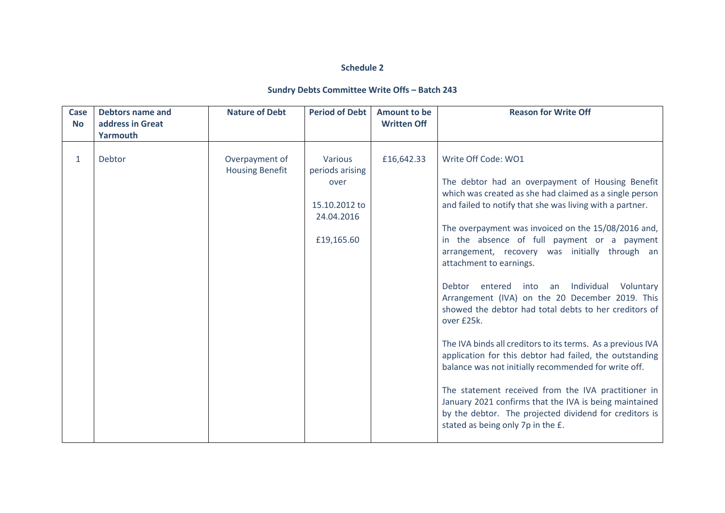### **Schedule 2**

### **Sundry Debts Committee Write Offs – Batch 243**

| <b>Case</b><br><b>No</b> | <b>Debtors name and</b><br>address in Great<br>Yarmouth | <b>Nature of Debt</b>                    | <b>Period of Debt</b>                                                           | <b>Amount to be</b><br><b>Written Off</b> | <b>Reason for Write Off</b>                                                                                                                                                                                                                                                                                                                                                                                                                                                                                                                                                                                                                                                                                                                                                                                                                                                                                                                                              |
|--------------------------|---------------------------------------------------------|------------------------------------------|---------------------------------------------------------------------------------|-------------------------------------------|--------------------------------------------------------------------------------------------------------------------------------------------------------------------------------------------------------------------------------------------------------------------------------------------------------------------------------------------------------------------------------------------------------------------------------------------------------------------------------------------------------------------------------------------------------------------------------------------------------------------------------------------------------------------------------------------------------------------------------------------------------------------------------------------------------------------------------------------------------------------------------------------------------------------------------------------------------------------------|
| $\mathbf{1}$             | Debtor                                                  | Overpayment of<br><b>Housing Benefit</b> | Various<br>periods arising<br>over<br>15.10.2012 to<br>24.04.2016<br>£19,165.60 | £16,642.33                                | Write Off Code: WO1<br>The debtor had an overpayment of Housing Benefit<br>which was created as she had claimed as a single person<br>and failed to notify that she was living with a partner.<br>The overpayment was invoiced on the 15/08/2016 and,<br>in the absence of full payment or a payment<br>arrangement, recovery was initially through an<br>attachment to earnings.<br>entered<br>into<br>an Individual<br>Voluntary<br>Debtor<br>Arrangement (IVA) on the 20 December 2019. This<br>showed the debtor had total debts to her creditors of<br>over £25k.<br>The IVA binds all creditors to its terms. As a previous IVA<br>application for this debtor had failed, the outstanding<br>balance was not initially recommended for write off.<br>The statement received from the IVA practitioner in<br>January 2021 confirms that the IVA is being maintained<br>by the debtor. The projected dividend for creditors is<br>stated as being only 7p in the £. |